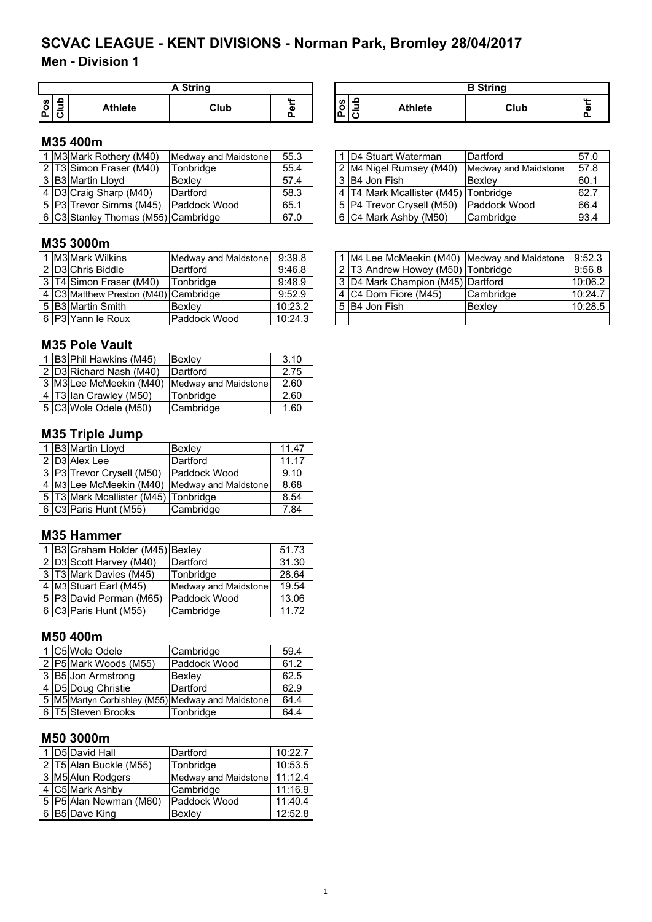## **Men - Division 1**

|    | <b>A String</b> |                |      |       |  |  |  |  |
|----|-----------------|----------------|------|-------|--|--|--|--|
| U) |                 | <b>Athlete</b> | Club | <br>Φ |  |  |  |  |

#### **Pos Club Athlete Club Perf A String B String**

## **M35 400m**

|  | 1 M3 Mark Rothery (M40)             | Medway and Maidstone | 55.3 |  | 1 D4 Stuart Waterman                 | Dartford             | 57.0 |
|--|-------------------------------------|----------------------|------|--|--------------------------------------|----------------------|------|
|  | 2 T3 Simon Fraser (M40)             | Tonbridge            | 55.4 |  | 2 M4 Nigel Rumsey (M40)              | Medway and Maidstone | 57.8 |
|  | 3 B3 Martin Lloyd                   | Bexlev               | 57.4 |  | 3 B4 Jon Fish                        | <b>Bexlev</b>        | 60.1 |
|  | 4 D3 Craig Sharp (M40)              | Dartford             | 58.3 |  | 4 T4 Mark Mcallister (M45) Tonbridge |                      | 62.7 |
|  | 5 P3 Trevor Simms (M45)             | <b>Paddock Wood</b>  | 65.1 |  | 5   P4   Trevor Crysell (M50)        | <b>Paddock Wood</b>  | 66.4 |
|  | 6 C3 Stanley Thomas (M55) Cambridge |                      | 67.0 |  | 6 C4 Mark Ashby (M50)                | Cambridge            | 93.4 |

#### **M35 3000m**

|  | l M3 Mark Wilkins                    | Medway and Maidstone | 9:39.8  |  |                                         | 1 M4 Lee McMeekin (M40) IMedway and Maidstone | 9:52.3  |
|--|--------------------------------------|----------------------|---------|--|-----------------------------------------|-----------------------------------------------|---------|
|  | 2 D3 Chris Biddle                    | <b>IDartford</b>     | 9:46.8  |  | 2 T3 Andrew Howey (M50) Tonbridge       |                                               | 9:56.8  |
|  | 3 T4 Simon Fraser (M40)              | Tonbridge            | 9:48.9  |  | 3   D4   Mark Champion (M45)   Dartford |                                               | 10:06.3 |
|  | 4 C3 Matthew Preston (M40) Cambridge |                      | 9:52.9  |  | 4 C4 Dom Fiore (M45)                    | <b>Cambridge</b>                              | 10:24.  |
|  | 5 B3 Martin Smith                    | Bexley               | 10:23.2 |  | 5 B4 Jon Fish                           | <b>Bexlev</b>                                 | 10:28.5 |
|  | 6   P3   Yann Ie Roux                | Paddock Wood         | 10:24.3 |  |                                         |                                               |         |

#### **M35 Pole Vault**

|  | 1 B3 Phil Hawkins (M45) | Bexley               | 3.10 |
|--|-------------------------|----------------------|------|
|  | 2 D3 Richard Nash (M40) | Dartford             | 2.75 |
|  | 3 M3 Lee McMeekin (M40) | Medway and Maidstone | 2.60 |
|  | 4 T3 Ian Crawley (M50)  | Tonbridge            | 2.60 |
|  | 5 C3 Wole Odele (M50)   | Cambridge            | 1.60 |

#### **M35 Triple Jump**

|  | 1 B3 Martin Lloyd                    | Bexley                                       | 11.47 |
|--|--------------------------------------|----------------------------------------------|-------|
|  | 2 D3 Alex Lee                        | Dartford                                     | 11.17 |
|  | 3 P3 Trevor Crysell (M50)            | Paddock Wood                                 | 9.10  |
|  |                                      | 4 M3 Lee McMeekin (M40) Medway and Maidstone | 8.68  |
|  | 5 T3 Mark Mcallister (M45) Tonbridge |                                              | 8.54  |
|  | 6 C3 Paris Hunt (M55)                | Cambridge                                    | 7.84  |

#### **M35 Hammer**

|  | 1   B3 Graham Holder (M45) Bexley |                      |       |  |
|--|-----------------------------------|----------------------|-------|--|
|  | 2 D3 Scott Harvey (M40)           | Dartford             | 31.30 |  |
|  | 3 T3 Mark Davies (M45)            | Tonbridge            | 28.64 |  |
|  | 4 M3 Stuart Earl (M45)            | Medway and Maidstone | 19.54 |  |
|  | 5 P3 David Perman (M65)           | Paddock Wood         | 13.06 |  |
|  | 6 C3 Paris Hunt (M55)             | Cambridge            | 11.72 |  |

#### **M50 400m**

|   | 1 C5 Wole Odele       | Cambridge                                              | 59.4 |
|---|-----------------------|--------------------------------------------------------|------|
|   | 2 P5 Mark Woods (M55) | Paddock Wood                                           | 61.2 |
|   | 3 B5 Jon Armstrong    | Bexley                                                 | 62.5 |
|   | 4 D5 Doug Christie    | Dartford                                               | 62.9 |
|   |                       | 5   M5  Martyn Corbishley (M55)   Medway and Maidstone | 64.4 |
| 6 | T5 Steven Brooks      | Tonbridge                                              | 64.4 |

## **M50 3000m**

|  | 1 D5 David Hall        | Dartford                     | 10:22.7 |
|--|------------------------|------------------------------|---------|
|  | 2 T5 Alan Buckle (M55) | Tonbridge                    | 10:53.5 |
|  | 3 M5 Alun Rodgers      | Medway and Maidstone 11:12.4 |         |
|  | 4 C5 Mark Ashby        | Cambridge                    | 11:16.9 |
|  | 5 P5 Alan Newman (M60) | Paddock Wood                 | 11:40.4 |
|  | 6 B5 Dave King         | Bexley                       | 12:52.8 |

|  | .                                    |                      |         |  |                                         |                                              |         |
|--|--------------------------------------|----------------------|---------|--|-----------------------------------------|----------------------------------------------|---------|
|  | 1 M3 Mark Wilkins                    | Medway and Maidstone | 9:39.8  |  |                                         | 1 M4 Lee McMeekin (M40) Medway and Maidstone | 9:52.3  |
|  | 2 ID3lChris Biddle                   | Dartford             | 9:46.8  |  | 2 T3 Andrew Howey (M50) Tonbridge       |                                              | 9:56.8  |
|  | 3 T4 Simon Fraser (M40)              | Tonbridge            | 9:48.9  |  | 3   D4   Mark Champion (M45)   Dartford |                                              | 10:06.2 |
|  | 4 C3 Matthew Preston (M40) Cambridge |                      | 9:52.9  |  | 4 C4 Dom Fiore (M45)                    | <b>Cambridge</b>                             | 10:24.7 |
|  | 5 IB3lMartin Smith                   | Bexley               | 10:23.2 |  | 5 B4 Jon Fish                           | <b>Bexlev</b>                                | 10:28.5 |
|  | 6 IP3 Yann le Roux                   | <b>Paddock Wood</b>  | 10.24.3 |  |                                         |                                              |         |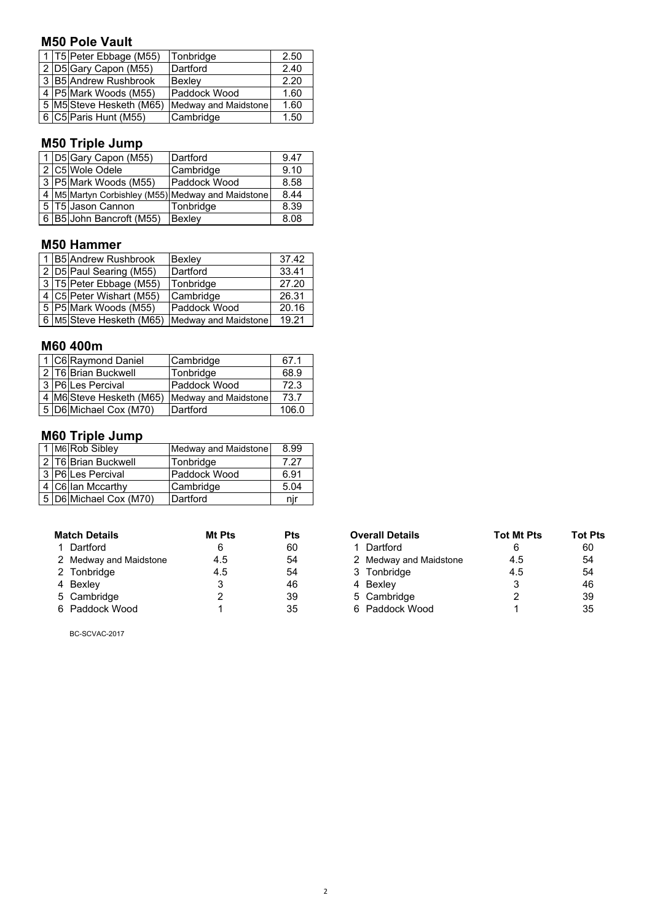#### **M50 Pole Vault**

|  | 1 T5 Peter Ebbage (M55)  | Tonbridge            | 2.50 |
|--|--------------------------|----------------------|------|
|  | 2 D5 Gary Capon (M55)    | Dartford             | 2.40 |
|  | 3 B5 Andrew Rushbrook    | Bexley               | 2.20 |
|  | 4 P5 Mark Woods (M55)    | Paddock Wood         | 1.60 |
|  | 5 M5 Steve Hesketh (M65) | Medway and Maidstone | 1.60 |
|  | 6 C5 Paris Hunt (M55)    | Cambridge            | 1.50 |

## **M50 Triple Jump**

|  | 1 D5 Gary Capon (M55)    | Dartford                                          | 9.47 |
|--|--------------------------|---------------------------------------------------|------|
|  | 2 C5 Wole Odele          | Cambridge                                         | 9.10 |
|  | 3 P5 Mark Woods (M55)    | Paddock Wood                                      | 8.58 |
|  |                          | 4 M5 Martyn Corbishley (M55) Medway and Maidstone | 8.44 |
|  | 5 T5 Jason Cannon        | Tonbridge                                         | 8.39 |
|  | 6 B5 John Bancroft (M55) | Bexley                                            | 8.08 |

#### **M50 Hammer**

|  | 1 B5 Andrew Rushbrook    | Bexley               | 37.42 |
|--|--------------------------|----------------------|-------|
|  | 2 D5 Paul Searing (M55)  | Dartford             | 33.41 |
|  | 3 T5 Peter Ebbage (M55)  | Tonbridge            | 27.20 |
|  | 4 C5 Peter Wishart (M55) | Cambridge            | 26.31 |
|  | 5 P5 Mark Woods (M55)    | Paddock Wood         | 20.16 |
|  | 6 M5 Steve Hesketh (M65) | Medway and Maidstone | 19.21 |

#### **M60 400m**

|  | 1 C6 Raymond Daniel      | Cambridge            | 67.1  |
|--|--------------------------|----------------------|-------|
|  | 2 T6 Brian Buckwell      | Tonbridge            | 68.9  |
|  | 3 P6 Les Percival        | Paddock Wood         | 72.3  |
|  | 4 M6 Steve Hesketh (M65) | Medway and Maidstone | 73.7  |
|  | 5 D6 Michael Cox (M70)   | Dartford             | 106.0 |

## **M60 Triple Jump**

|  | 1 M6 Rob Sibley        | Medway and Maidstone | 8.99 |
|--|------------------------|----------------------|------|
|  | 2 T6 Brian Buckwell    | Tonbridge            | 7.27 |
|  | 3 P6 Les Percival      | Paddock Wood         | 6.91 |
|  | 4 C6 Ian Mccarthy      | Cambridge            | 5.04 |
|  | 5 D6 Michael Cox (M70) | Dartford             | nır  |

| <b>Match Details</b>   | Mt Pts | <b>Pts</b> | <b>Overall Details</b> | <b>Tot Mt Pts</b> | <b>Tot F</b> |
|------------------------|--------|------------|------------------------|-------------------|--------------|
| 1 Dartford             |        | 60         | 1 Dartford             |                   | 60           |
| 2 Medway and Maidstone | 4.5    | 54         | 2 Medway and Maidstone | 4.5               | 54           |
| 2 Tonbridge            | 4.5    | 54         | 3 Tonbridge            | 4.5               | 54           |
| 4 Bexley               |        | 46         | 4 Bexley               | 3                 | 46           |
| 5 Cambridge            |        | 39         | 5 Cambridge            | າ                 | 39           |
| 6 Paddock Wood         |        | 35         | 6 Paddock Wood         |                   | 35           |

BC-SCVAC-2017

| <b>Match Details</b> |                        | Mt Pts | <b>Pts</b> | <b>Overall Details</b> | <b>Tot Mt Pts</b> | <b>Tot Pts</b> |
|----------------------|------------------------|--------|------------|------------------------|-------------------|----------------|
|                      | 1 Dartford             | 6      | 60         | 1 Dartford             |                   | 60             |
|                      | 2 Medway and Maidstone | 4.5    | 54         | 2 Medway and Maidstone | 4.5               | 54             |
|                      | 2 Tonbridge            | 4.5    | 54         | 3 Tonbridge            | 4.5               | 54             |
|                      | 4 Bexley               |        | 46         | 4 Bexlev               |                   | 46             |
|                      | 5 Cambridge            |        | 39         | 5 Cambridge            |                   | 39             |
|                      | 6 Paddock Wood         |        | 35         | 6 Paddock Wood         |                   | 35             |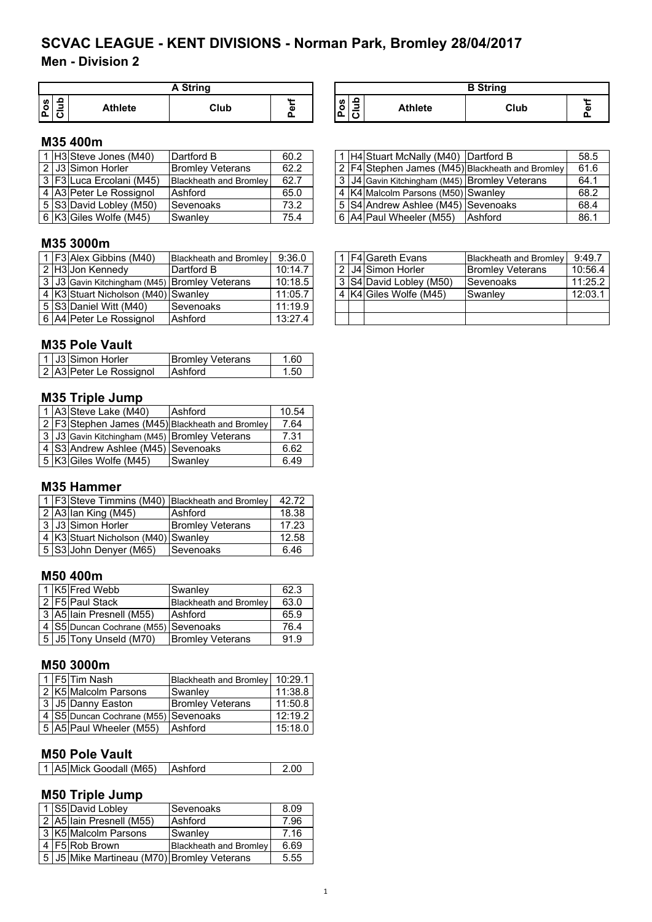## **Men - Division 2**

|          | A String |                |      |       |  |  |
|----------|----------|----------------|------|-------|--|--|
| <b>S</b> |          | <b>Athlete</b> | Club | <br>ω |  |  |

| A String |    | <b>B</b> String                 |                |      |       |  |
|----------|----|---------------------------------|----------------|------|-------|--|
| Club     | G. | $\bullet$<br><b>S</b><br>n<br>↩ | <b>Athlete</b> | Club | <br>α |  |

1 | H4 Stuart McNally (M40) Dartford B 68.5 2 | F4 Stephen James (M45) Blackheath and Bromley | 61.6 3 J4 Gavin Kitchingham (M45) Bromley Veterans 64.1<br>4 K4 Malcolm Parsons (M50) Swanley 68.2 4 K4 Malcolm Parsons (M50) Swanley 68.2<br>5 S4 Andrew Ashlee (M45) Sevenoaks 68.4 5 S4 Andrew Ashlee (M45) Sevenoaks 68.4<br>6 A4 Paul Wheeler (M55) Ashford 68.1

6 A4 Paul Wheeler (M55) Ashford

## **M35 400m**

|  | $\overline{1}$ H3 Steve Jones (M40) | Dartford B                    | 60.2 |
|--|-------------------------------------|-------------------------------|------|
|  | $\sqrt{2 \text{J3} }$ Simon Horler  | <b>Bromley Veterans</b>       | 62.2 |
|  | 3 F3 Luca Ercolani (M45)            | <b>Blackheath and Bromley</b> | 62.7 |
|  | 4 A3 Peter Le Rossignol             | Ashford                       | 65.0 |
|  | 5 S3 David Lobley (M50)             | <b>Sevenoaks</b>              | 73.2 |
|  | 6 K3 Giles Wolfe (M45)              | Swanley                       | 75.4 |

#### **M35 3000m**

|  | 1 F3 Alex Gibbins (M40)                       | <b>Blackheath and Bromley</b> | 9:36.0  |  | 1   F4 Gareth Evans     | Blackheath and Bromley  | 9:49.7  |
|--|-----------------------------------------------|-------------------------------|---------|--|-------------------------|-------------------------|---------|
|  | 2 H3 Jon Kennedy                              | Dartford B                    | 10:14.7 |  | l 2   J4   Simon Horler | <b>Bromley Veterans</b> | 10:56.4 |
|  | 3 J3 Gavin Kitchingham (M45) Bromley Veterans |                               | 10:18.5 |  | 3 S4 David Lobley (M50) | Sevenoaks               | 11:25.3 |
|  | 4 K3 Stuart Nicholson (M40) Swanley           |                               | 11:05.7 |  | 4 K4 Giles Wolfe (M45)  | Swanley                 | 12:03.  |
|  | 5 S3 Daniel Witt (M40)                        | Sevenoaks                     | 11:19.9 |  |                         |                         |         |
|  | 6 A4 Peter Le Rossignol                       | Ashford                       | 13:27.4 |  |                         |                         |         |

#### **M35 Pole Vault**

|  | 1 J3 Simon Horler       | <b>Bromley Veterans</b> | 1.60 |
|--|-------------------------|-------------------------|------|
|  | 2 A3 Peter Le Rossignol | <b>Ashford</b>          | 1.50 |

#### **M35 Triple Jump**

|  | 1 A3 Steve Lake (M40)                         | <b>Ashford</b>                                  | 10.54 |
|--|-----------------------------------------------|-------------------------------------------------|-------|
|  |                                               | 2 F3 Stephen James (M45) Blackheath and Bromley | 7.64  |
|  | 3 J3 Gavin Kitchingham (M45) Bromley Veterans |                                                 | 7.31  |
|  | 4 S3 Andrew Ashlee (M45) Sevenoaks            |                                                 | 6.62  |
|  | 5 K3 Giles Wolfe (M45)                        | Swanley                                         | 6.49  |

#### **M35 Hammer**

|  |                                     | 1   F3 Steve Timmins (M40)   Blackheath and Bromley | 42.72 |
|--|-------------------------------------|-----------------------------------------------------|-------|
|  | $2$ A3 Ian King (M45)               | Ashford                                             | 18.38 |
|  | 3 J3 Simon Horler                   | <b>Bromley Veterans</b>                             | 17.23 |
|  | 4 K3 Stuart Nicholson (M40) Swanley |                                                     | 12.58 |
|  | 5 S3 John Denyer (M65)              | Sevenoaks                                           | 6.46  |

#### **M50 400m**

|  | 1 K5 Fred Webb                       | Swanley                       | 62.3 |
|--|--------------------------------------|-------------------------------|------|
|  | 2 F5 Paul Stack                      | <b>Blackheath and Bromley</b> | 63.0 |
|  | 3 A5 Iain Presnell (M55)             | Ashford                       | 65.9 |
|  | 4 S5 Duncan Cochrane (M55) Sevenoaks |                               | 76.4 |
|  | 5 J5 Tony Unseld (M70)               | <b>Bromley Veterans</b>       | 91.9 |

#### **M50 3000m**

|  | 1 F5 Tim Nash                        | Blackheath and Bromley  | 10:29.1 |
|--|--------------------------------------|-------------------------|---------|
|  | 2 K5 Malcolm Parsons                 | Swanley                 | 11:38.8 |
|  | 3 J5 Danny Easton                    | <b>Bromley Veterans</b> | 11:50.8 |
|  | 4 S5 Duncan Cochrane (M55) Sevenoaks |                         | 12:19.2 |
|  | 5 A5 Paul Wheeler (M55)              | <b>Ashford</b>          | 15:18.0 |

#### **M50 Pole Vault**

| 1 A5 Mick Goodall (M65) | Ashford | 2.00 |
|-------------------------|---------|------|
|                         |         |      |

## **M50 Triple Jump**

|  | 1 S5 David Lobley                          | Sevenoaks                     | 8.09 |  |  |
|--|--------------------------------------------|-------------------------------|------|--|--|
|  | 2 A5 Iain Presnell (M55)                   | Ashford                       | 7.96 |  |  |
|  | 3 K5 Malcolm Parsons                       | Swanley                       | 7.16 |  |  |
|  | 4 F5 Rob Brown                             | <b>Blackheath and Bromley</b> | 6.69 |  |  |
|  | 5 J5 Mike Martineau (M70) Bromley Veterans |                               | 5.55 |  |  |

|  | 1 F3 Alex Gibbins (M40)                       | Blackheath and Bromley | 9:36.0  |  |  |  | <b>F4</b> Gareth Evans  | <b>Blackheath and Bromley</b> | 9:49.7  |  |
|--|-----------------------------------------------|------------------------|---------|--|--|--|-------------------------|-------------------------------|---------|--|
|  | 2  H3 Jon Kennedv                             | Dartford B             | 10:14.7 |  |  |  | 2 J4 Simon Horler       | <b>Bromley Veterans</b>       | 10:56.4 |  |
|  | 3 J3 Gavin Kitchingham (M45) Bromley Veterans |                        | 10:18.5 |  |  |  | 3 S4 David Lobley (M50) | <b>ISevenoaks</b>             | 11:25.2 |  |
|  | 4 K3 Stuart Nicholson (M40) Swanley           |                        | 11:05.7 |  |  |  | 4 K4 Giles Wolfe (M45)  | <b>Swanley</b>                | 12:03.1 |  |
|  | 5 S3 Daniel Witt (M40)                        | <b>Sevenoaks</b>       | 11:19.9 |  |  |  |                         |                               |         |  |
|  | 6 A4 Peter Le Rossignol                       | Ashford                | 13:27.4 |  |  |  |                         |                               |         |  |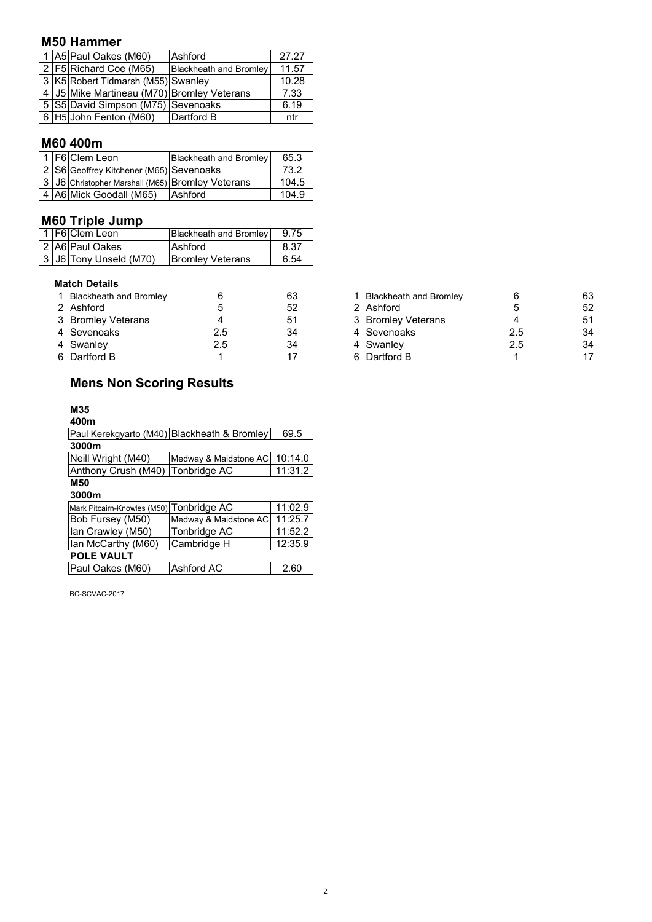#### **M50 Hammer**

|  | 1 A5 Paul Oakes (M60)                            | Ashford                       | 27.27 |
|--|--------------------------------------------------|-------------------------------|-------|
|  | 2   F5   Richard Coe (M65)                       | <b>Blackheath and Bromley</b> | 11.57 |
|  | 3 K5 Robert Tidmarsh (M55) Swanley               |                               | 10.28 |
|  | 4   J5   Mike Martineau (M70)   Bromley Veterans |                               | 7.33  |
|  | 5 S5 David Simpson (M75) Sevenoaks               |                               | 6.19  |
|  | 6 H5 John Fenton (M60)                           | Dartford B                    | ntr   |

## **M60 400m**

|  |                                           | 65.3                                                                                                                                           |
|--|-------------------------------------------|------------------------------------------------------------------------------------------------------------------------------------------------|
|  |                                           | 73.2                                                                                                                                           |
|  |                                           | 104.5                                                                                                                                          |
|  |                                           | 104.9                                                                                                                                          |
|  | 1 F6 Clem Leon<br>4 A6 Mick Goodall (M65) | <b>Blackheath and Bromley</b><br>2 S6 Geoffrey Kitchener (M65) Sevenoaks<br>3 J6 Christopher Marshall (M65) Bromley Veterans<br><b>Ashford</b> |

#### **M60 Triple Jump**

|  | 1   F6   Clem Leon     | Blackheath and Bromley  | 9.75 |
|--|------------------------|-------------------------|------|
|  | 2 A6 Paul Oakes        | <b>Ashford</b>          | 8.37 |
|  | 3 J6 Tony Unseld (M70) | <b>Bromley Veterans</b> | 6.54 |

#### **Match Details**

| 1 Blackheath and Bromley |     | 63  | Blackheath and Bromley |     | 63 |
|--------------------------|-----|-----|------------------------|-----|----|
| 2 Ashford                |     | 52  | 2 Ashford              |     | 52 |
| 3 Bromley Veterans       |     | -51 | 3 Bromley Veterans     |     | 51 |
| 4 Sevenoaks              | 2.5 | 34  | 4 Sevenoaks            | 2.5 | 34 |
| 4 Swanley                | 2.5 | 34  | 4 Swanley              | 2.5 | 34 |
| 6 Dartford B             |     |     | 6 Dartford B           |     | 17 |

# **Mens Non Scoring Results**

#### **M35**

| 400m                             |                                             |         |
|----------------------------------|---------------------------------------------|---------|
|                                  | Paul Kerekgyarto (M40) Blackheath & Bromley | 69.5    |
| 3000m                            |                                             |         |
| Neill Wright (M40)               | Medway & Maidstone AC                       | 10:14.0 |
| Anthony Crush (M40) Tonbridge AC |                                             | 11:31.2 |
| <b>M50</b>                       |                                             |         |
| 3000m                            |                                             |         |
|                                  |                                             |         |

| Mark Pitcairn-Knowles (M50) Tonbridge AC |                       | 11:02.9 |
|------------------------------------------|-----------------------|---------|
| Bob Fursey (M50)                         | Medway & Maidstone AC | 11:25.7 |
| Ian Crawley (M50)                        | Tonbridge AC          | 11:52.2 |
| Ian McCarthy (M60)                       | Cambridge H           | 12:35.9 |
| <b>POLE VAULT</b>                        |                       |         |
| Paul Oakes (M60)                         | Ashford AC            | 2.60    |

BC-SCVAC-2017

| 1 Blackheath and Bromley | 6   | 63 |
|--------------------------|-----|----|
| 2 Ashford                | 5   | 52 |
| 3 Bromley Veterans       |     | 51 |
| 4 Sevenoaks              | 2.5 | 34 |
| 4 Swanley                | 2.5 | 34 |
| 6 Dartford B             | 1   | 17 |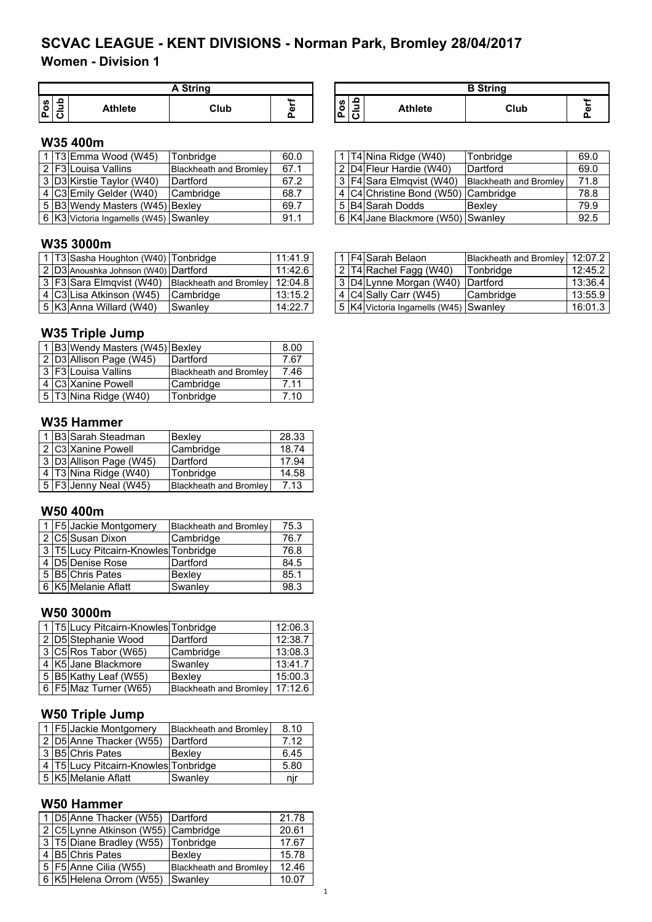**Women - Division 1**

|         | A String       |      |            |  |  |  |
|---------|----------------|------|------------|--|--|--|
| U)<br>o | <b>Athlete</b> | Club | <br>ω<br>Ω |  |  |  |

| A String |   |                   |         | <b>B</b> String |           |
|----------|---|-------------------|---------|-----------------|-----------|
| Club     | Φ | w<br>o<br>۰n<br>∼ | Athlete | Club            | <b>AA</b> |

### **W35 400m**

|  | 1 T3 Emma Wood (W45)                  | Tonbridge              | 60.0 |  | 1   T4   Nina Ridge (W40)           | Tonbridge                     | 69.0 |
|--|---------------------------------------|------------------------|------|--|-------------------------------------|-------------------------------|------|
|  | 2 F3 Louisa Vallins                   | Blackheath and Bromley | 67.1 |  | 2   D4   Fleur Hardie (W40)         | Dartford                      | 69.0 |
|  | 3 D3 Kirstie Taylor (W40)             | Dartford               | 67.2 |  | 3 F4 Sara Elmovist (W40)            | <b>Blackheath and Bromley</b> | 71.8 |
|  | 4 C3 Emily Gelder (W40)               | Cambridge              | 68.7 |  | 4 C4 Christine Bond (W50) Cambridge |                               | 78.8 |
|  | 5 B3 Wendy Masters (W45) Bexley       |                        | 69.7 |  | 5 B4 Sarah Dodds                    | Bexley                        | 79.9 |
|  | 6 K3 Victoria Ingamells (W45) Swanley |                        | 91.1 |  | 6 K4 Jane Blackmore (W50) Swanley   |                               | 92.5 |

#### **W35 3000m**

|  | 1   T3 Sasha Houghton (W40)   Tonbridge |                               | 11:41.9 |
|--|-----------------------------------------|-------------------------------|---------|
|  | 2 D3 Anoushka Johnson (W40) Dartford    |                               | 11:426  |
|  | 3 F3 Sara Elmqvist (W40)                | <b>Blackheath and Bromley</b> | 12:04.8 |
|  | 4 C3 Lisa Atkinson (W45)                | Cambridge                     | 13:15.2 |
|  | 5 K3 Anna Willard (W40)                 | Swanley                       | 14:22.7 |

## **W35 Triple Jump**

|  | 1 B3 Wendy Masters (W45) Bexley |                        | 8.00 |
|--|---------------------------------|------------------------|------|
|  | 2 D3 Allison Page (W45)         | Dartford               | 7.67 |
|  | 3 F3 Louisa Vallins             | Blackheath and Bromley | 7.46 |
|  | 4 C3 Xanine Powell              | Cambridge              | 7.11 |
|  | 5 T3 Nina Ridge (W40)           | Tonbridge              | 7.10 |

#### **W35 Hammer**

|  | 1 B3 Sarah Steadman     | Bexley                        | 28.33 |
|--|-------------------------|-------------------------------|-------|
|  | 2 C3 Xanine Powell      | Cambridge                     | 18.74 |
|  | 3 D3 Allison Page (W45) | Dartford                      | 17.94 |
|  | 4 T3 Nina Ridge (W40)   | Tonbridge                     | 14.58 |
|  | 5   F3 Jenny Neal (W45) | <b>Blackheath and Bromley</b> | 7.13  |

#### **W50 400m**

|  | 1   F5 Jackie Montgomery             | Blackheath and Bromley | 75.3 |
|--|--------------------------------------|------------------------|------|
|  | 2 C5 Susan Dixon                     | Cambridge              | 76.7 |
|  | 3 T5 Lucy Pitcairn-Knowles Tonbridge |                        | 76.8 |
|  | 4 D5 Denise Rose                     | Dartford               | 84.5 |
|  | 5 B5 Chris Pates                     | Bexley                 | 85.1 |
|  | 6 K5 Melanie Aflatt                  | Swanley                | 98.3 |

#### **W50 3000m**

|  | 1 T5 Lucy Pitcairn-Knowles Tonbridge |                                | 12:06.3 |
|--|--------------------------------------|--------------------------------|---------|
|  | 2 D5 Stephanie Wood                  | Dartford                       | 12:38.7 |
|  | 3 C5 Ros Tabor (W65)                 | Cambridge                      | 13:08.3 |
|  | 4 K5 Jane Blackmore                  | Swanley                        | 13:41.7 |
|  | 5 B5 Kathy Leaf (W55)                | Bexlev                         | 15:00.3 |
|  | 6   F5   Maz Turner (W65)            | Blackheath and Bromley 17:12.6 |         |

## **W50 Triple Jump**

|  | 1 F5 Jackie Montgomery                   | <b>Blackheath and Bromley</b> | 8.10 |
|--|------------------------------------------|-------------------------------|------|
|  | 2 D5 Anne Thacker (W55)                  | Dartford                      | 7.12 |
|  | 3 B5 Chris Pates                         | Bexlev                        | 6.45 |
|  | 4   T5 Lucy Pitcairn-Knowles   Tonbridge |                               | 5.80 |
|  | 5 K5 Melanie Aflatt                      | Swanley                       | nır  |

## **W50 Hammer**

|  | 1   D5 Anne Thacker (W55)   Dartford |                        | 21.78 |
|--|--------------------------------------|------------------------|-------|
|  | 2 C5 Lynne Atkinson (W55) Cambridge  |                        | 20.61 |
|  | 3 T5 Diane Bradley (W55)             | Tonbridge              | 17.67 |
|  | 4 B5 Chris Pates                     | Bexlev                 | 15.78 |
|  | 5 F5 Anne Cilia (W55)                | Blackheath and Bromley | 12.46 |
|  | 6 K5 Helena Orrom (W55)              | <b>Swanley</b>         | 10.07 |

1

|  | 1 T3 Sasha Houghton (W40) Tonbridge  |                                                               | 11:41.9 |  | 1 F4 Sarah Belaon                           | Blackheath and Bromley   12:07.2 |         |
|--|--------------------------------------|---------------------------------------------------------------|---------|--|---------------------------------------------|----------------------------------|---------|
|  | 2 D3 Anoushka Johnson (W40) Dartford |                                                               | 11:42.6 |  | $\vert 2 \vert$ T4 Rachel Fagg (W40)        | Tonbridge                        | 12:45.2 |
|  |                                      | 3   F3 Sara Elmqvist (W40)   Blackheath and Bromley   12:04.8 |         |  | 3 D4 Lynne Morgan (W40) Dartford            |                                  | 13:36.4 |
|  | 4  C3 Lisa Atkinson (W45)            | Cambridge                                                     | 13:15.2 |  | 4 C4 Sally Carr (W45)                       | <b>Cambridge</b>                 | 13:55.9 |
|  | 5   K3   Anna Willard (W40)          | Swanlev                                                       | 14:22.7 |  | 5   K4   Victoria Ingamells (W45)   Swanley |                                  | 16:01.3 |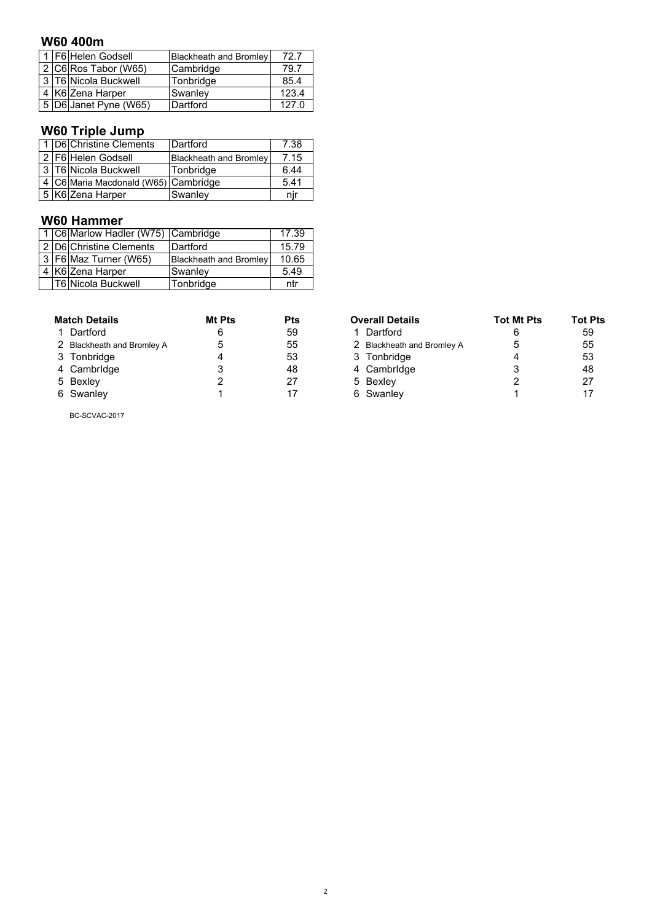#### **W60 400m**

| 1 F6 Helen Godsell |                         | <b>Blackheath and Bromley</b> | 72.7  |
|--------------------|-------------------------|-------------------------------|-------|
|                    | $2 C6 $ Ros Tabor (W65) | Cambridge                     | 79.7  |
|                    | 3 T6 Nicola Buckwell    | Tonbridge                     | 85.4  |
|                    | 4 K6 Zena Harper        | Swanley                       | 123.4 |
|                    | 5 D6 Janet Pyne (W65)   | Dartford                      | 1270  |

# **W60 Triple Jump**

|  | 1 D6 Christine Clements                  | Dartford                      | 7.38 |
|--|------------------------------------------|-------------------------------|------|
|  | 2   F6   Helen Godsell                   | <b>Blackheath and Bromley</b> | 7.15 |
|  | 3 T6 Nicola Buckwell                     | Tonbridge                     | 6.44 |
|  | 4   C6 Maria Macdonald (W65)   Cambridge |                               | 5.41 |
|  | 5 K6 Zena Harper                         | Swanley                       | nıı  |

#### **W60 Hammer**

|  | 1 C6 Marlow Hadler (W75) Cambridge |                               | 17.39 |
|--|------------------------------------|-------------------------------|-------|
|  | 2 D6 Christine Clements            | Dartford                      | 15.79 |
|  | 3   F6   Maz Turner (W65)          | <b>Blackheath and Bromley</b> | 10.65 |
|  | 4 K6 Zena Harper                   | Swanley                       | 5.49  |
|  | T6 Nicola Buckwell                 | Tonbridge                     | ntr   |

| <b>Match Details</b> |                            | Mt Pts | Pts | <b>Overall Details</b>     | <b>Tot Mt Pts</b> | Tot I |
|----------------------|----------------------------|--------|-----|----------------------------|-------------------|-------|
|                      | 1 Dartford                 |        | 59  | Dartford                   |                   | 59    |
|                      | 2 Blackheath and Bromley A |        | 55  | 2 Blackheath and Bromley A | 5                 | 55    |
|                      | 3 Tonbridge                |        | 53  | 3 Tonbridge                |                   | 53    |
|                      | 4 Cambridge                |        | 48  | 4 Cambridge                |                   | 48    |
|                      | 5 Bexley                   |        | 27  | 5 Bexley                   |                   | 27    |
|                      | 6 Swanley                  |        |     | 6 Swanley                  |                   | 17    |

| <b>Match Details</b>       | Mt Pts | <b>Pts</b> | <b>Overall Details</b>     | <b>Tot Mt Pts</b> | <b>Tot Pts</b> |
|----------------------------|--------|------------|----------------------------|-------------------|----------------|
| 1 Dartford                 |        | 59         | 1 Dartford                 |                   | 59             |
| 2 Blackheath and Bromley A | 5      | 55         | 2 Blackheath and Bromley A |                   | 55             |
| 3 Tonbridge                |        | 53         | 3 Tonbridge                |                   | 53             |
| 4 Cambridge                |        | 48         | 4 Cambridge                |                   | 48             |
| 5 Bexley                   |        | 27         | 5 Bexley                   |                   | 27             |
| 6 Swanley                  |        |            | 6 Swanley                  |                   |                |

BC-SCVAC-2017